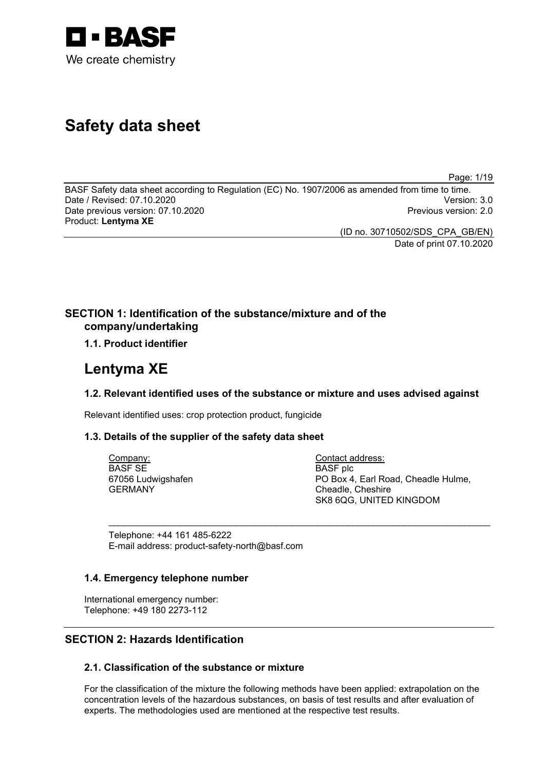

# **Safety data sheet**

Page: 1/19

BASF Safety data sheet according to Regulation (EC) No. 1907/2006 as amended from time to time. Date / Revised: 07.10.2020 Version: 3.0 Date previous version: 07.10.2020 Product: **Lentyma XE**

(ID no. 30710502/SDS\_CPA\_GB/EN) Date of print 07.10.2020

## **SECTION 1: Identification of the substance/mixture and of the company/undertaking**

## **1.1. Product identifier**

## **Lentyma XE**

## **1.2. Relevant identified uses of the substance or mixture and uses advised against**

\_\_\_\_\_\_\_\_\_\_\_\_\_\_\_\_\_\_\_\_\_\_\_\_\_\_\_\_\_\_\_\_\_\_\_\_\_\_\_\_\_\_\_\_\_\_\_\_\_\_\_\_\_\_\_\_\_\_\_\_\_\_\_\_\_\_\_\_\_\_\_\_\_\_\_

Relevant identified uses: crop protection product, fungicide

## **1.3. Details of the supplier of the safety data sheet**

Company: BASF SE 67056 Ludwigshafen GERMANY

Contact address: BASF plc PO Box 4, Earl Road, Cheadle Hulme, Cheadle, Cheshire SK8 6QG, UNITED KINGDOM

Telephone: +44 161 485-6222 E-mail address: product-safety-north@basf.com

## **1.4. Emergency telephone number**

International emergency number: Telephone: +49 180 2273-112

## **SECTION 2: Hazards Identification**

## **2.1. Classification of the substance or mixture**

For the classification of the mixture the following methods have been applied: extrapolation on the concentration levels of the hazardous substances, on basis of test results and after evaluation of experts. The methodologies used are mentioned at the respective test results.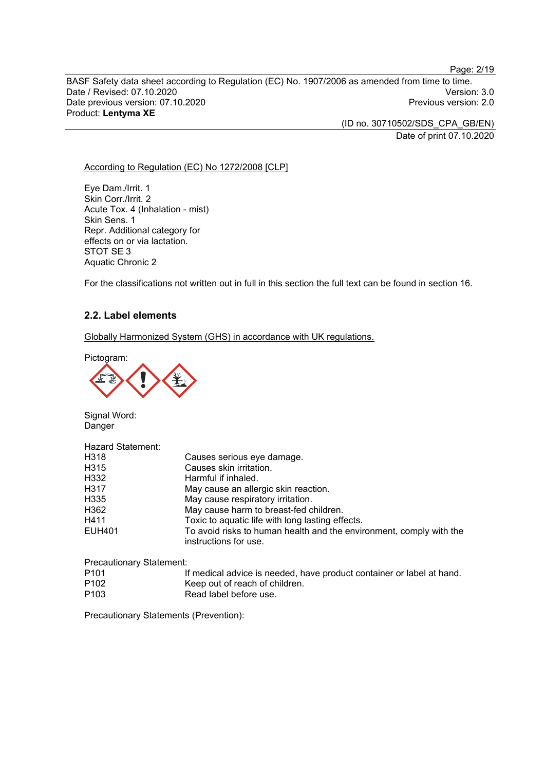BASF Safety data sheet according to Regulation (EC) No. 1907/2006 as amended from time to time. Date / Revised: 07.10.2020<br>Date previous version: 07.10.2020 Version: 3.0 Date previous version: 07.10.2020 Product: **Lentyma XE**

> (ID no. 30710502/SDS\_CPA\_GB/EN) Date of print 07.10.2020

#### According to Regulation (EC) No 1272/2008 [CLP]

Eye Dam./Irrit. 1 Skin Corr./Irrit. 2 Acute Tox. 4 (Inhalation - mist) Skin Sens. 1 Repr. Additional category for effects on or via lactation. STOT SE 3 Aquatic Chronic 2

For the classifications not written out in full in this section the full text can be found in section 16.

## **2.2. Label elements**

Globally Harmonized System (GHS) in accordance with UK regulations.

Pictogram:



Signal Word: Danger

Hazard Statement:

| H318   | Causes serious eye damage.                                                                   |
|--------|----------------------------------------------------------------------------------------------|
| H315   | Causes skin irritation.                                                                      |
| H332   | Harmful if inhaled.                                                                          |
| H317   | May cause an allergic skin reaction.                                                         |
| H335   | May cause respiratory irritation.                                                            |
| H362   | May cause harm to breast-fed children.                                                       |
| H411   | Toxic to aquatic life with long lasting effects.                                             |
| EUH401 | To avoid risks to human health and the environment, comply with the<br>instructions for use. |

Precautionary Statement:

| P <sub>101</sub> | If medical advice is needed, have product container or label at hand. |
|------------------|-----------------------------------------------------------------------|
| P <sub>102</sub> | Keep out of reach of children.                                        |
| P <sub>103</sub> | Read label before use.                                                |

Precautionary Statements (Prevention):

#### Page: 2/19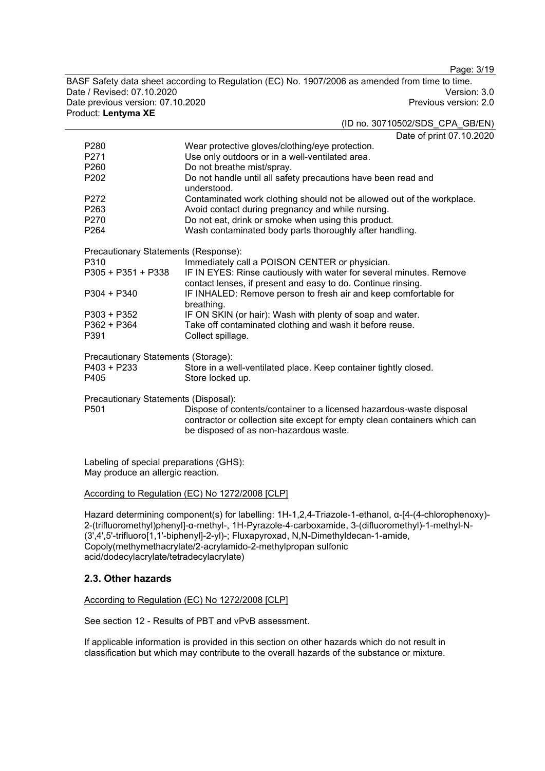Page: 3/19

BASF Safety data sheet according to Regulation (EC) No. 1907/2006 as amended from time to time. Date / Revised: 07.10.2020 Version: 3.0 Date previous version: 07.10.2020 Product: **Lentyma XE**

(ID no. 30710502/SDS\_CPA\_GB/EN)

Date of print 07.10.2020

|                                      | Date of print of TO.ZU                                                                                                              |  |
|--------------------------------------|-------------------------------------------------------------------------------------------------------------------------------------|--|
| P <sub>280</sub>                     | Wear protective gloves/clothing/eye protection.                                                                                     |  |
| P <sub>271</sub>                     | Use only outdoors or in a well-ventilated area.                                                                                     |  |
| P <sub>260</sub>                     | Do not breathe mist/spray.                                                                                                          |  |
| P <sub>202</sub>                     | Do not handle until all safety precautions have been read and<br>understood.                                                        |  |
| P272                                 | Contaminated work clothing should not be allowed out of the workplace.                                                              |  |
| P263                                 | Avoid contact during pregnancy and while nursing.                                                                                   |  |
| P270                                 | Do not eat, drink or smoke when using this product.                                                                                 |  |
| P <sub>264</sub>                     | Wash contaminated body parts thoroughly after handling.                                                                             |  |
| Precautionary Statements (Response): |                                                                                                                                     |  |
| P310                                 | Immediately call a POISON CENTER or physician.                                                                                      |  |
| P305 + P351 + P338                   | IF IN EYES: Rinse cautiously with water for several minutes. Remove<br>contact lenses, if present and easy to do. Continue rinsing. |  |
| $P304 + P340$                        | IF INHALED: Remove person to fresh air and keep comfortable for<br>breathing.                                                       |  |
| $P303 + P352$                        | IF ON SKIN (or hair): Wash with plenty of soap and water.                                                                           |  |
| P362 + P364                          | Take off contaminated clothing and wash it before reuse.                                                                            |  |
| P391                                 | Collect spillage.                                                                                                                   |  |
| Precautionary Statements (Storage):  |                                                                                                                                     |  |
| P403 + P233                          | Store in a well-ventilated place. Keep container tightly closed.                                                                    |  |
| P405                                 | Store locked up.                                                                                                                    |  |
| Precautionary Statements (Disposal): |                                                                                                                                     |  |
| P501                                 | Dispose of contents/container to a licensed hazardous-waste disposal                                                                |  |
|                                      |                                                                                                                                     |  |

contractor or collection site except for empty clean containers which can be disposed of as non-hazardous waste.

Labeling of special preparations (GHS): May produce an allergic reaction.

#### According to Regulation (EC) No 1272/2008 [CLP]

Hazard determining component(s) for labelling: 1H-1,2,4-Triazole-1-ethanol, α-[4-(4-chlorophenoxy)- 2-(trifluoromethyl)phenyl]-α-methyl-, 1H-Pyrazole-4-carboxamide, 3-(difluoromethyl)-1-methyl-N- (3',4',5'-trifluoro[1,1'-biphenyl]-2-yl)-; Fluxapyroxad, N,N-Dimethyldecan-1-amide, Copoly(methymethacrylate/2-acrylamido-2-methylpropan sulfonic acid/dodecylacrylate/tetradecylacrylate)

## **2.3. Other hazards**

#### According to Regulation (EC) No 1272/2008 [CLP]

See section 12 - Results of PBT and vPvB assessment.

If applicable information is provided in this section on other hazards which do not result in classification but which may contribute to the overall hazards of the substance or mixture.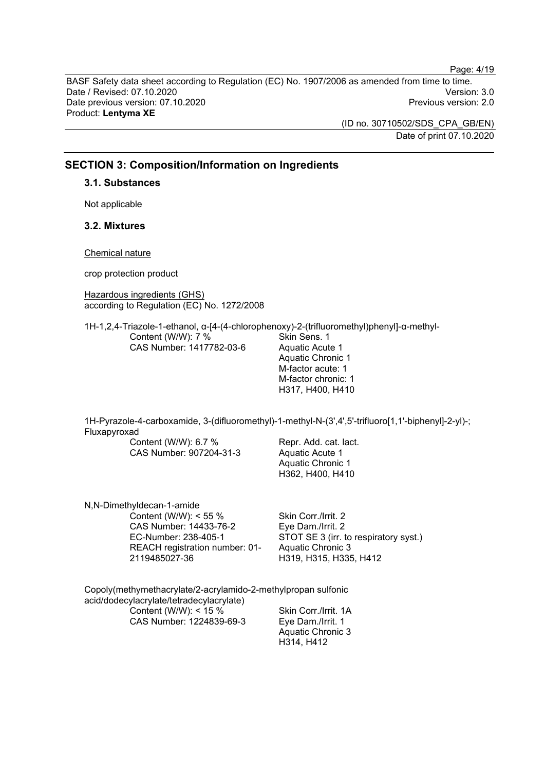BASF Safety data sheet according to Regulation (EC) No. 1907/2006 as amended from time to time. Date / Revised: 07.10.2020 Version: 3.0 Date previous version: 07.10.2020 Product: **Lentyma XE**

> (ID no. 30710502/SDS\_CPA\_GB/EN) Date of print 07.10.2020

## **SECTION 3: Composition/Information on Ingredients**

#### **3.1. Substances**

Not applicable

## **3.2. Mixtures**

Chemical nature

crop protection product

Hazardous ingredients (GHS) according to Regulation (EC) No. 1272/2008

1H-1,2,4-Triazole-1-ethanol, α-[4-(4-chlorophenoxy)-2-(trifluoromethyl)phenyl]-α-methyl-Content (W/W): 7 % CAS Number: 1417782-03-6 Skin Sens. 1 Aquatic Acute 1 Aquatic Chronic 1 M-factor acute: 1 M-factor chronic: 1

1H-Pyrazole-4-carboxamide, 3-(difluoromethyl)-1-methyl-N-(3',4',5'-trifluoro[1,1'-biphenyl]-2-yl)-; Fluxapyroxad

Content (W/W): 6.7 % CAS Number: 907204-31-3

Repr. Add. cat. lact. Aquatic Acute 1 Aquatic Chronic 1 H362, H400, H410

H317, H400, H410

| N, N-Dimethyldecan-1-amide     |                                       |
|--------------------------------|---------------------------------------|
| Content (W/W): $<$ 55 %        | Skin Corr./Irrit. 2                   |
| CAS Number: 14433-76-2         | Eye Dam./Irrit. 2                     |
| EC-Number: 238-405-1           | STOT SE 3 (irr. to respiratory syst.) |
| REACH registration number: 01- | Aquatic Chronic 3                     |
| 2119485027-36                  | H319, H315, H335, H412                |

Copoly(methymethacrylate/2-acrylamido-2-methylpropan sulfonic acid/dodecylacrylate/tetradecylacrylate) Content (W/W): < 15 % CAS Number: 1224839-69-3 Skin Corr./Irrit. 1A Eye Dam./Irrit. 1

Aquatic Chronic 3 H314, H412

Page: 4/19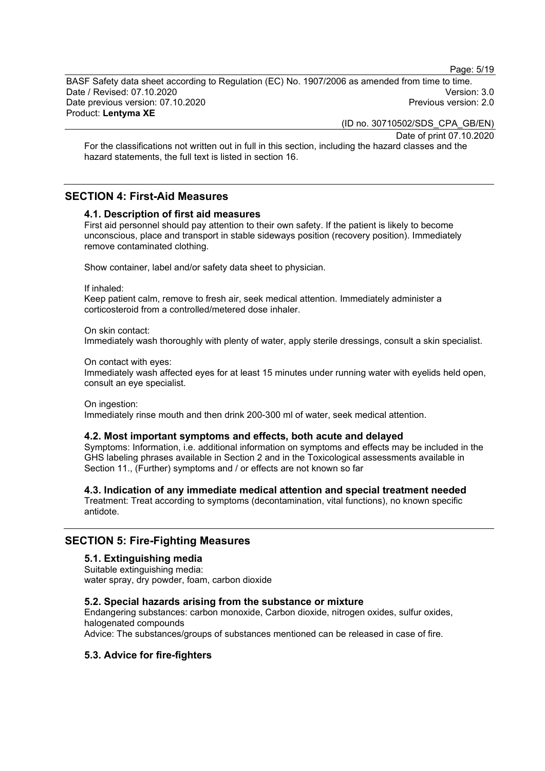Page: 5/19

BASF Safety data sheet according to Regulation (EC) No. 1907/2006 as amended from time to time. Date / Revised: 07.10.2020 Version: 3.0 Date previous version: 07.10.2020 Product: **Lentyma XE**

(ID no. 30710502/SDS\_CPA\_GB/EN)

Date of print 07.10.2020

For the classifications not written out in full in this section, including the hazard classes and the hazard statements, the full text is listed in section 16.

## **SECTION 4: First-Aid Measures**

### **4.1. Description of first aid measures**

First aid personnel should pay attention to their own safety. If the patient is likely to become unconscious, place and transport in stable sideways position (recovery position). Immediately remove contaminated clothing.

Show container, label and/or safety data sheet to physician.

If inhaled:

Keep patient calm, remove to fresh air, seek medical attention. Immediately administer a corticosteroid from a controlled/metered dose inhaler.

#### On skin contact:

Immediately wash thoroughly with plenty of water, apply sterile dressings, consult a skin specialist.

#### On contact with eyes:

Immediately wash affected eyes for at least 15 minutes under running water with eyelids held open, consult an eye specialist.

On ingestion:

Immediately rinse mouth and then drink 200-300 ml of water, seek medical attention.

#### **4.2. Most important symptoms and effects, both acute and delayed**

Symptoms: Information, i.e. additional information on symptoms and effects may be included in the GHS labeling phrases available in Section 2 and in the Toxicological assessments available in Section 11., (Further) symptoms and / or effects are not known so far

**4.3. Indication of any immediate medical attention and special treatment needed**

Treatment: Treat according to symptoms (decontamination, vital functions), no known specific antidote.

## **SECTION 5: Fire-Fighting Measures**

#### **5.1. Extinguishing media**

Suitable extinguishing media: water spray, dry powder, foam, carbon dioxide

#### **5.2. Special hazards arising from the substance or mixture**

Endangering substances: carbon monoxide, Carbon dioxide, nitrogen oxides, sulfur oxides, halogenated compounds

Advice: The substances/groups of substances mentioned can be released in case of fire.

## **5.3. Advice for fire-fighters**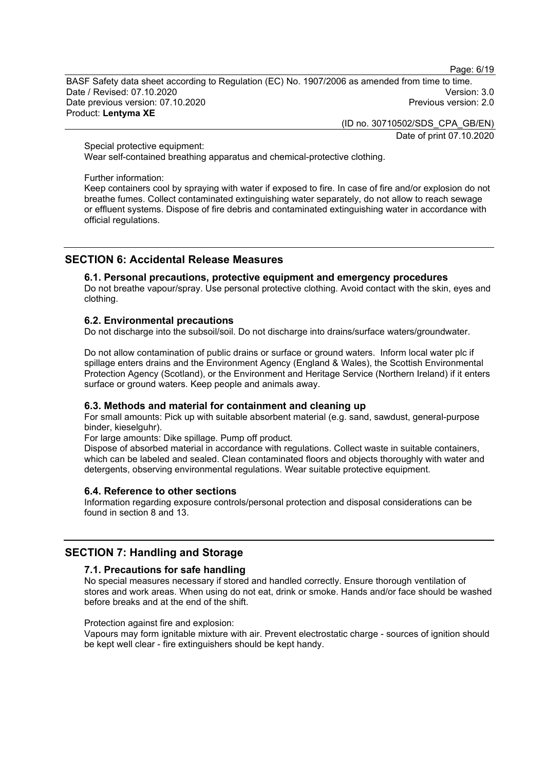Page: 6/19

BASF Safety data sheet according to Regulation (EC) No. 1907/2006 as amended from time to time. Date / Revised: 07.10.2020 Version: 3.0 Date previous version: 07.10.2020 Product: **Lentyma XE**

> (ID no. 30710502/SDS\_CPA\_GB/EN) Date of print 07.10.2020

Special protective equipment:

Wear self-contained breathing apparatus and chemical-protective clothing.

#### Further information:

Keep containers cool by spraying with water if exposed to fire. In case of fire and/or explosion do not breathe fumes. Collect contaminated extinguishing water separately, do not allow to reach sewage or effluent systems. Dispose of fire debris and contaminated extinguishing water in accordance with official regulations.

## **SECTION 6: Accidental Release Measures**

### **6.1. Personal precautions, protective equipment and emergency procedures**

Do not breathe vapour/spray. Use personal protective clothing. Avoid contact with the skin, eyes and clothing.

#### **6.2. Environmental precautions**

Do not discharge into the subsoil/soil. Do not discharge into drains/surface waters/groundwater.

Do not allow contamination of public drains or surface or ground waters. Inform local water plc if spillage enters drains and the Environment Agency (England & Wales), the Scottish Environmental Protection Agency (Scotland), or the Environment and Heritage Service (Northern Ireland) if it enters surface or ground waters. Keep people and animals away.

#### **6.3. Methods and material for containment and cleaning up**

For small amounts: Pick up with suitable absorbent material (e.g. sand, sawdust, general-purpose binder, kieselguhr).

For large amounts: Dike spillage. Pump off product.

Dispose of absorbed material in accordance with regulations. Collect waste in suitable containers, which can be labeled and sealed. Clean contaminated floors and objects thoroughly with water and detergents, observing environmental regulations. Wear suitable protective equipment.

#### **6.4. Reference to other sections**

Information regarding exposure controls/personal protection and disposal considerations can be found in section 8 and 13.

## **SECTION 7: Handling and Storage**

#### **7.1. Precautions for safe handling**

No special measures necessary if stored and handled correctly. Ensure thorough ventilation of stores and work areas. When using do not eat, drink or smoke. Hands and/or face should be washed before breaks and at the end of the shift.

Protection against fire and explosion:

Vapours may form ignitable mixture with air. Prevent electrostatic charge - sources of ignition should be kept well clear - fire extinguishers should be kept handy.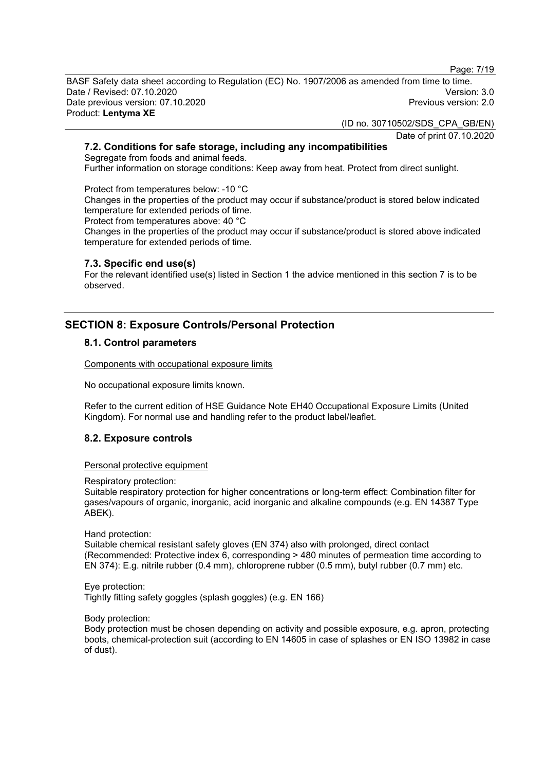Page: 7/19

BASF Safety data sheet according to Regulation (EC) No. 1907/2006 as amended from time to time. Date / Revised: 07.10.2020 Version: 3.0 Date previous version: 07.10.2020 Product: **Lentyma XE**

(ID no. 30710502/SDS\_CPA\_GB/EN)

Date of print 07.10.2020

## **7.2. Conditions for safe storage, including any incompatibilities**

Segregate from foods and animal feeds. Further information on storage conditions: Keep away from heat. Protect from direct sunlight.

Protect from temperatures below: -10 °C Changes in the properties of the product may occur if substance/product is stored below indicated temperature for extended periods of time.

Protect from temperatures above: 40 °C

Changes in the properties of the product may occur if substance/product is stored above indicated temperature for extended periods of time.

## **7.3. Specific end use(s)**

For the relevant identified use(s) listed in Section 1 the advice mentioned in this section 7 is to be observed.

## **SECTION 8: Exposure Controls/Personal Protection**

## **8.1. Control parameters**

Components with occupational exposure limits

No occupational exposure limits known.

Refer to the current edition of HSE Guidance Note EH40 Occupational Exposure Limits (United Kingdom). For normal use and handling refer to the product label/leaflet.

## **8.2. Exposure controls**

## Personal protective equipment

Respiratory protection:

Suitable respiratory protection for higher concentrations or long-term effect: Combination filter for gases/vapours of organic, inorganic, acid inorganic and alkaline compounds (e.g. EN 14387 Type ABEK).

Hand protection:

Suitable chemical resistant safety gloves (EN 374) also with prolonged, direct contact (Recommended: Protective index 6, corresponding > 480 minutes of permeation time according to EN 374): E.g. nitrile rubber (0.4 mm), chloroprene rubber (0.5 mm), butyl rubber (0.7 mm) etc.

Eye protection: Tightly fitting safety goggles (splash goggles) (e.g. EN 166)

Body protection:

Body protection must be chosen depending on activity and possible exposure, e.g. apron, protecting boots, chemical-protection suit (according to EN 14605 in case of splashes or EN ISO 13982 in case of dust).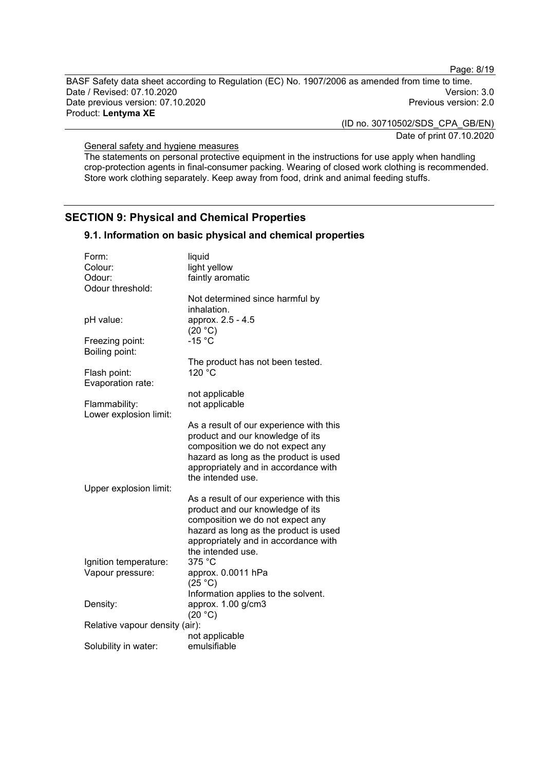Page: 8/19

BASF Safety data sheet according to Regulation (EC) No. 1907/2006 as amended from time to time. Date / Revised: 07.10.2020<br>Date previous version: 07.10.2020 Version: 07.10.2020 Date previous version: 07.10.2020 Product: **Lentyma XE**

> (ID no. 30710502/SDS\_CPA\_GB/EN) Date of print 07.10.2020

General safety and hygiene measures

The statements on personal protective equipment in the instructions for use apply when handling crop-protection agents in final-consumer packing. Wearing of closed work clothing is recommended. Store work clothing separately. Keep away from food, drink and animal feeding stuffs.

## **SECTION 9: Physical and Chemical Properties**

| Form:<br>Colour:<br>Odour:<br>Odour threshold: | liquid<br>light yellow<br>faintly aromatic                                                                                                                                                                            |
|------------------------------------------------|-----------------------------------------------------------------------------------------------------------------------------------------------------------------------------------------------------------------------|
|                                                | Not determined since harmful by<br>inhalation.                                                                                                                                                                        |
| pH value:                                      | approx. 2.5 - 4.5<br>(20 °C)                                                                                                                                                                                          |
| Freezing point:<br>Boiling point:              | $-15 °C$                                                                                                                                                                                                              |
| Flash point:                                   | The product has not been tested.<br>120 °C                                                                                                                                                                            |
| Evaporation rate:                              |                                                                                                                                                                                                                       |
| Flammability:<br>Lower explosion limit:        | not applicable<br>not applicable                                                                                                                                                                                      |
|                                                | As a result of our experience with this<br>product and our knowledge of its<br>composition we do not expect any<br>hazard as long as the product is used<br>appropriately and in accordance with<br>the intended use. |
| Upper explosion limit:                         | As a result of our experience with this<br>product and our knowledge of its<br>composition we do not expect any<br>hazard as long as the product is used<br>appropriately and in accordance with<br>the intended use. |
| Ignition temperature:<br>Vapour pressure:      | 375 °C<br>approx. 0.0011 hPa                                                                                                                                                                                          |
|                                                | (25 °C)<br>Information applies to the solvent.                                                                                                                                                                        |
| Density:                                       | approx. 1.00 g/cm3<br>(20 °C)                                                                                                                                                                                         |
| Relative vapour density (air):                 |                                                                                                                                                                                                                       |
|                                                | not applicable                                                                                                                                                                                                        |
| Solubility in water:                           | emulsifiable                                                                                                                                                                                                          |

## **9.1. Information on basic physical and chemical properties**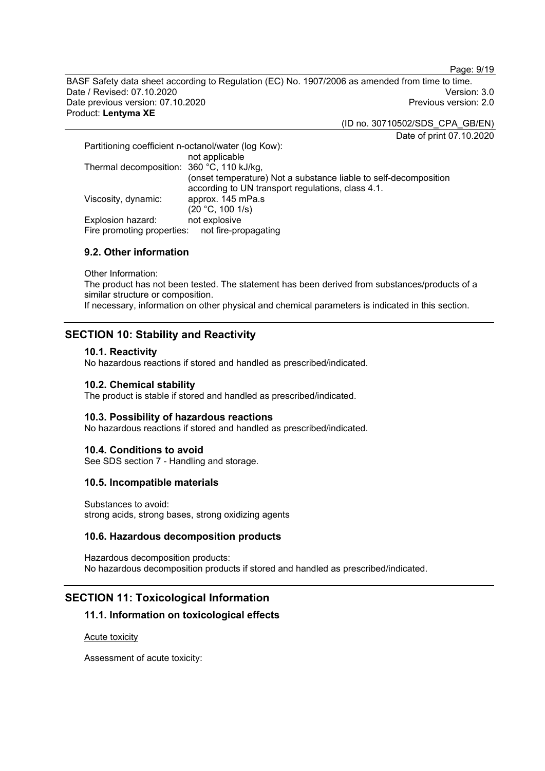Page: 9/19

BASF Safety data sheet according to Regulation (EC) No. 1907/2006 as amended from time to time. Date / Revised: 07.10.2020 Version: 3.0 Date previous version: 07.10.2020 Product: **Lentyma XE**

(ID no. 30710502/SDS\_CPA\_GB/EN)

Date of print 07.10.2020

Partitioning coefficient n-octanol/water (log Kow): not applicable Thermal decomposition: 360 °C, 110 kJ/kg, (onset temperature) Not a substance liable to self-decomposition according to UN transport regulations, class 4.1. Viscosity, dynamic:  $(20 °C, 100 1/s)$ <br>not explosive Explosion hazard: not explosive<br>Fire promoting properties: not fire-propagating Fire promoting properties:

### **9.2. Other information**

Other Information:

The product has not been tested. The statement has been derived from substances/products of a similar structure or composition.

If necessary, information on other physical and chemical parameters is indicated in this section.

## **SECTION 10: Stability and Reactivity**

#### **10.1. Reactivity**

No hazardous reactions if stored and handled as prescribed/indicated.

#### **10.2. Chemical stability**

The product is stable if stored and handled as prescribed/indicated.

#### **10.3. Possibility of hazardous reactions**

No hazardous reactions if stored and handled as prescribed/indicated.

#### **10.4. Conditions to avoid**

See SDS section 7 - Handling and storage.

#### **10.5. Incompatible materials**

Substances to avoid: strong acids, strong bases, strong oxidizing agents

#### **10.6. Hazardous decomposition products**

Hazardous decomposition products: No hazardous decomposition products if stored and handled as prescribed/indicated.

## **SECTION 11: Toxicological Information**

## **11.1. Information on toxicological effects**

Acute toxicity

Assessment of acute toxicity: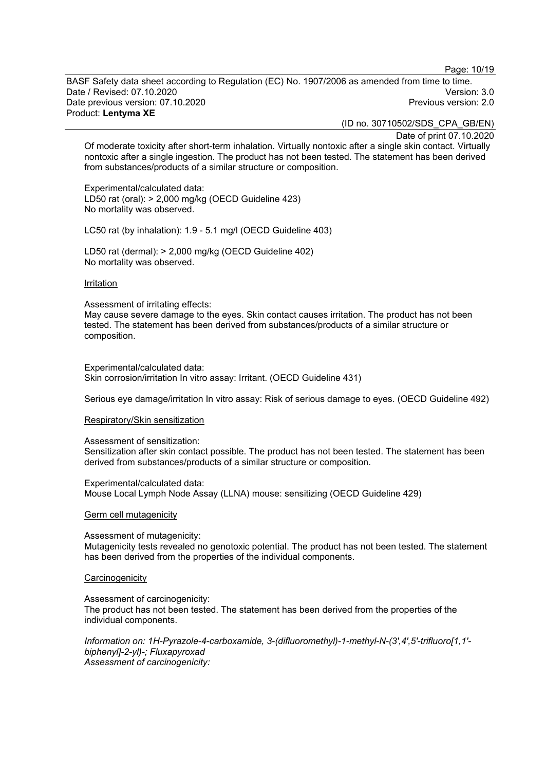Page: 10/19

BASF Safety data sheet according to Regulation (EC) No. 1907/2006 as amended from time to time. Date / Revised: 07.10.2020 Version: 3.0 Date previous version: 07.10.2020 Product: **Lentyma XE**

(ID no. 30710502/SDS\_CPA\_GB/EN)

Date of print 07.10.2020

Of moderate toxicity after short-term inhalation. Virtually nontoxic after a single skin contact. Virtually nontoxic after a single ingestion. The product has not been tested. The statement has been derived from substances/products of a similar structure or composition.

Experimental/calculated data: LD50 rat (oral): > 2,000 mg/kg (OECD Guideline 423) No mortality was observed.

LC50 rat (by inhalation): 1.9 - 5.1 mg/l (OECD Guideline 403)

LD50 rat (dermal): > 2,000 mg/kg (OECD Guideline 402) No mortality was observed.

#### Irritation

Assessment of irritating effects:

May cause severe damage to the eyes. Skin contact causes irritation. The product has not been tested. The statement has been derived from substances/products of a similar structure or composition.

Experimental/calculated data: Skin corrosion/irritation In vitro assay: Irritant. (OECD Guideline 431)

Serious eye damage/irritation In vitro assay: Risk of serious damage to eyes. (OECD Guideline 492)

Respiratory/Skin sensitization

Assessment of sensitization:

Sensitization after skin contact possible. The product has not been tested. The statement has been derived from substances/products of a similar structure or composition.

Experimental/calculated data: Mouse Local Lymph Node Assay (LLNA) mouse: sensitizing (OECD Guideline 429)

#### Germ cell mutagenicity

Assessment of mutagenicity: Mutagenicity tests revealed no genotoxic potential. The product has not been tested. The statement has been derived from the properties of the individual components.

#### **Carcinogenicity**

Assessment of carcinogenicity:

The product has not been tested. The statement has been derived from the properties of the individual components.

*Information on: 1H-Pyrazole-4-carboxamide, 3-(difluoromethyl)-1-methyl-N-(3',4',5'-trifluoro[1,1' biphenyl]-2-yl)-; Fluxapyroxad Assessment of carcinogenicity:*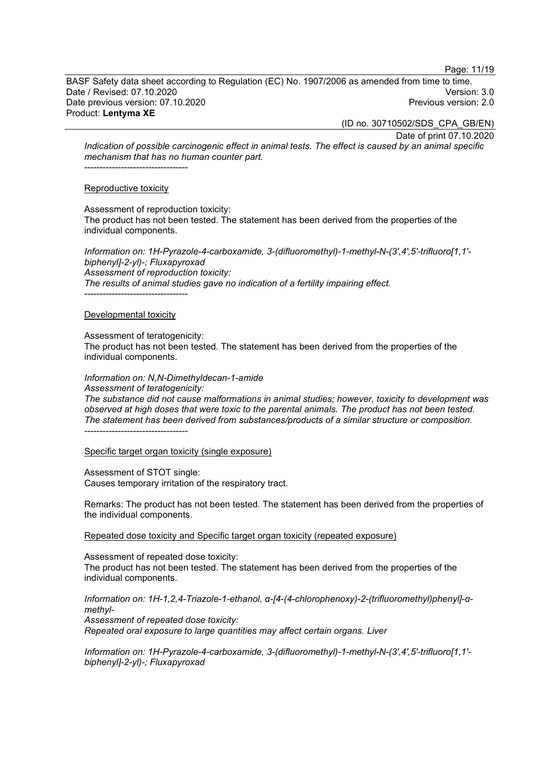Page: 11/19

BASF Safety data sheet according to Regulation (EC) No. 1907/2006 as amended from time to time. Date / Revised: 07.10.2020 Version: 3.0 Date previous version: 07.10.2020 Product: **Lentyma XE**

(ID no. 30710502/SDS\_CPA\_GB/EN)

Date of print 07.10.2020

*Indication of possible carcinogenic effect in animal tests. The effect is caused by an animal specific mechanism that has no human counter part.*

### Reproductive toxicity

----------------------------------

Assessment of reproduction toxicity:

The product has not been tested. The statement has been derived from the properties of the individual components.

*Information on: 1H-Pyrazole-4-carboxamide, 3-(difluoromethyl)-1-methyl-N-(3',4',5'-trifluoro[1,1' biphenyl]-2-yl)-; Fluxapyroxad Assessment of reproduction toxicity: The results of animal studies gave no indication of a fertility impairing effect.* ----------------------------------

#### Developmental toxicity

Assessment of teratogenicity:

The product has not been tested. The statement has been derived from the properties of the individual components.

#### *Information on: N,N-Dimethyldecan-1-amide Assessment of teratogenicity:*

*The substance did not cause malformations in animal studies; however, toxicity to development was observed at high doses that were toxic to the parental animals. The product has not been tested. The statement has been derived from substances/products of a similar structure or composition.* ----------------------------------

Specific target organ toxicity (single exposure)

Assessment of STOT single: Causes temporary irritation of the respiratory tract.

Remarks: The product has not been tested. The statement has been derived from the properties of the individual components.

Repeated dose toxicity and Specific target organ toxicity (repeated exposure)

Assessment of repeated dose toxicity:

The product has not been tested. The statement has been derived from the properties of the individual components.

*Information on: 1H-1,2,4-Triazole-1-ethanol, α-[4-(4-chlorophenoxy)-2-(trifluoromethyl)phenyl]-αmethyl-Assessment of repeated dose toxicity:*

*Repeated oral exposure to large quantities may affect certain organs. Liver*

*Information on: 1H-Pyrazole-4-carboxamide, 3-(difluoromethyl)-1-methyl-N-(3',4',5'-trifluoro[1,1' biphenyl]-2-yl)-; Fluxapyroxad*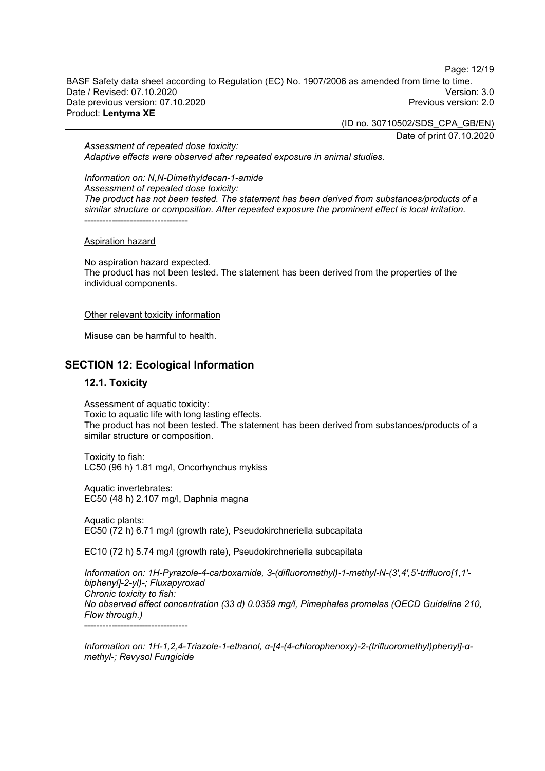Page: 12/19

BASF Safety data sheet according to Regulation (EC) No. 1907/2006 as amended from time to time. Date / Revised: 07.10.2020 Version: 3.0 Date previous version: 07.10.2020 Product: **Lentyma XE**

(ID no. 30710502/SDS\_CPA\_GB/EN)

Date of print 07.10.2020

*Assessment of repeated dose toxicity: Adaptive effects were observed after repeated exposure in animal studies.*

*Information on: N,N-Dimethyldecan-1-amide Assessment of repeated dose toxicity: The product has not been tested. The statement has been derived from substances/products of a similar structure or composition. After repeated exposure the prominent effect is local irritation.* ----------------------------------

#### Aspiration hazard

No aspiration hazard expected. The product has not been tested. The statement has been derived from the properties of the individual components.

#### Other relevant toxicity information

Misuse can be harmful to health.

## **SECTION 12: Ecological Information**

#### **12.1. Toxicity**

Assessment of aquatic toxicity: Toxic to aquatic life with long lasting effects. The product has not been tested. The statement has been derived from substances/products of a similar structure or composition.

Toxicity to fish: LC50 (96 h) 1.81 mg/l, Oncorhynchus mykiss

Aquatic invertebrates: EC50 (48 h) 2.107 mg/l, Daphnia magna

Aquatic plants: EC50 (72 h) 6.71 mg/l (growth rate), Pseudokirchneriella subcapitata

EC10 (72 h) 5.74 mg/l (growth rate), Pseudokirchneriella subcapitata

*Information on: 1H-Pyrazole-4-carboxamide, 3-(difluoromethyl)-1-methyl-N-(3',4',5'-trifluoro[1,1' biphenyl]-2-yl)-; Fluxapyroxad Chronic toxicity to fish: No observed effect concentration (33 d) 0.0359 mg/l, Pimephales promelas (OECD Guideline 210, Flow through.)* ----------------------------------

*Information on: 1H-1,2,4-Triazole-1-ethanol, α-[4-(4-chlorophenoxy)-2-(trifluoromethyl)phenyl]-αmethyl-; Revysol Fungicide*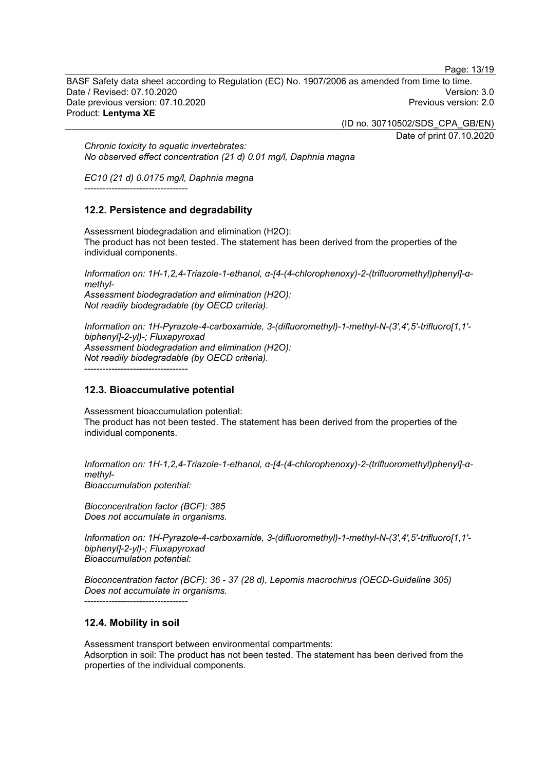Page: 13/19

BASF Safety data sheet according to Regulation (EC) No. 1907/2006 as amended from time to time. Date / Revised: 07.10.2020 Version: 3.0 Date previous version: 07.10.2020 Product: **Lentyma XE**

(ID no. 30710502/SDS\_CPA\_GB/EN)

Date of print 07.10.2020

*Chronic toxicity to aquatic invertebrates: No observed effect concentration (21 d) 0.01 mg/l, Daphnia magna*

*EC10 (21 d) 0.0175 mg/l, Daphnia magna*

----------------------------------

## **12.2. Persistence and degradability**

Assessment biodegradation and elimination (H2O): The product has not been tested. The statement has been derived from the properties of the individual components.

*Information on: 1H-1,2,4-Triazole-1-ethanol, α-[4-(4-chlorophenoxy)-2-(trifluoromethyl)phenyl]-αmethyl-Assessment biodegradation and elimination (H2O): Not readily biodegradable (by OECD criteria).*

*Information on: 1H-Pyrazole-4-carboxamide, 3-(difluoromethyl)-1-methyl-N-(3',4',5'-trifluoro[1,1' biphenyl]-2-yl)-; Fluxapyroxad Assessment biodegradation and elimination (H2O): Not readily biodegradable (by OECD criteria).*

----------------------------------

## **12.3. Bioaccumulative potential**

Assessment bioaccumulation potential: The product has not been tested. The statement has been derived from the properties of the individual components.

*Information on: 1H-1,2,4-Triazole-1-ethanol, α-[4-(4-chlorophenoxy)-2-(trifluoromethyl)phenyl]-αmethyl-*

*Bioaccumulation potential:*

*Bioconcentration factor (BCF): 385 Does not accumulate in organisms.*

*Information on: 1H-Pyrazole-4-carboxamide, 3-(difluoromethyl)-1-methyl-N-(3',4',5'-trifluoro[1,1' biphenyl]-2-yl)-; Fluxapyroxad Bioaccumulation potential:*

*Bioconcentration factor (BCF): 36 - 37 (28 d), Lepomis macrochirus (OECD-Guideline 305) Does not accumulate in organisms.*

## **12.4. Mobility in soil**

----------------------------------

Assessment transport between environmental compartments: Adsorption in soil: The product has not been tested. The statement has been derived from the properties of the individual components.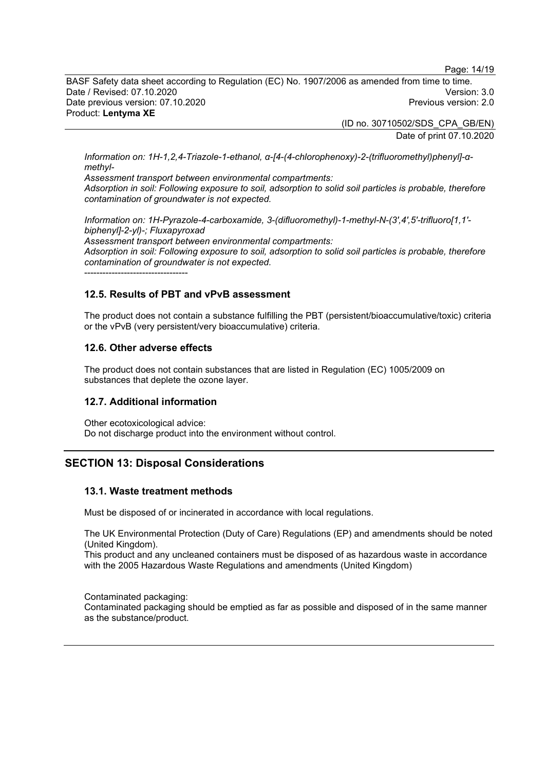Page: 14/19

BASF Safety data sheet according to Regulation (EC) No. 1907/2006 as amended from time to time. Date / Revised: 07.10.2020 Version: 3.0 Date previous version: 07.10.2020 Product: **Lentyma XE**

> (ID no. 30710502/SDS\_CPA\_GB/EN) Date of print 07.10.2020

*Information on: 1H-1,2,4-Triazole-1-ethanol, α-[4-(4-chlorophenoxy)-2-(trifluoromethyl)phenyl]-αmethyl-*

*Assessment transport between environmental compartments: Adsorption in soil: Following exposure to soil, adsorption to solid soil particles is probable, therefore contamination of groundwater is not expected.*

*Information on: 1H-Pyrazole-4-carboxamide, 3-(difluoromethyl)-1-methyl-N-(3',4',5'-trifluoro[1,1' biphenyl]-2-yl)-; Fluxapyroxad Assessment transport between environmental compartments: Adsorption in soil: Following exposure to soil, adsorption to solid soil particles is probable, therefore contamination of groundwater is not expected.*

----------------------------------

## **12.5. Results of PBT and vPvB assessment**

The product does not contain a substance fulfilling the PBT (persistent/bioaccumulative/toxic) criteria or the vPvB (very persistent/very bioaccumulative) criteria.

## **12.6. Other adverse effects**

The product does not contain substances that are listed in Regulation (EC) 1005/2009 on substances that deplete the ozone layer.

## **12.7. Additional information**

Other ecotoxicological advice: Do not discharge product into the environment without control.

## **SECTION 13: Disposal Considerations**

## **13.1. Waste treatment methods**

Must be disposed of or incinerated in accordance with local regulations.

The UK Environmental Protection (Duty of Care) Regulations (EP) and amendments should be noted (United Kingdom).

This product and any uncleaned containers must be disposed of as hazardous waste in accordance with the 2005 Hazardous Waste Regulations and amendments (United Kingdom)

Contaminated packaging: Contaminated packaging should be emptied as far as possible and disposed of in the same manner as the substance/product.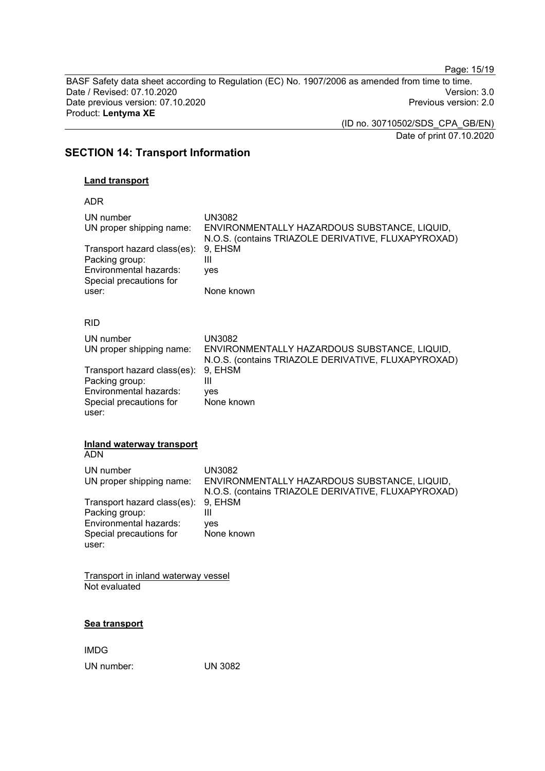Page: 15/19

BASF Safety data sheet according to Regulation (EC) No. 1907/2006 as amended from time to time. Date / Revised: 07.10.2020<br>
Date previous version: 07.10.2020<br>
Previous version: 2.0 Date previous version: 07.10.2020 Product: **Lentyma XE**

> (ID no. 30710502/SDS\_CPA\_GB/EN) Date of print 07.10.2020

**SECTION 14: Transport Information**

## **Land transport**

ADR

| UN number                                      | <b>UN3082</b>                                       |
|------------------------------------------------|-----------------------------------------------------|
| UN proper shipping name:                       | ENVIRONMENTALLY HAZARDOUS SUBSTANCE, LIQUID,        |
| Transport hazard class(es):                    | N.O.S. (contains TRIAZOLE DERIVATIVE, FLUXAPYROXAD) |
| Packing group:                                 | 9, EHSM                                             |
| Environmental hazards:                         | Ш                                                   |
| Special precautions for                        | yes                                                 |
| user:                                          | None known                                          |
| <b>RID</b>                                     |                                                     |
| UN number                                      | <b>UN3082</b>                                       |
| UN proper shipping name:                       | ENVIRONMENTALLY HAZARDOUS SUBSTANCE, LIQUID,        |
| Transport hazard class(es):                    | N.O.S. (contains TRIAZOLE DERIVATIVE, FLUXAPYROXAD) |
| Packing group:                                 | 9, EHSM                                             |
| Environmental hazards:                         | $\mathbf{III}$                                      |
| Special precautions for                        | ves                                                 |
| user:                                          | None known                                          |
| <b>Inland waterway transport</b><br><b>ADN</b> |                                                     |
| UN number                                      | <b>UN3082</b>                                       |
| UN proper shipping name:                       | ENVIRONMENTALLY HAZARDOUS SUBSTANCE, LIQUID,        |
| Transport hazard class(es):                    | N.O.S. (contains TRIAZOLE DERIVATIVE, FLUXAPYROXAD) |
| Packing group:                                 | 9, EHSM                                             |
| Environmental hazards:                         | $\mathbf{III}$                                      |
| Special precautions for                        | ves                                                 |
| user:                                          | None known                                          |
| Transport in inland waterway vessel            |                                                     |

Not evaluated

### **Sea transport**

IMDG UN number: UN 3082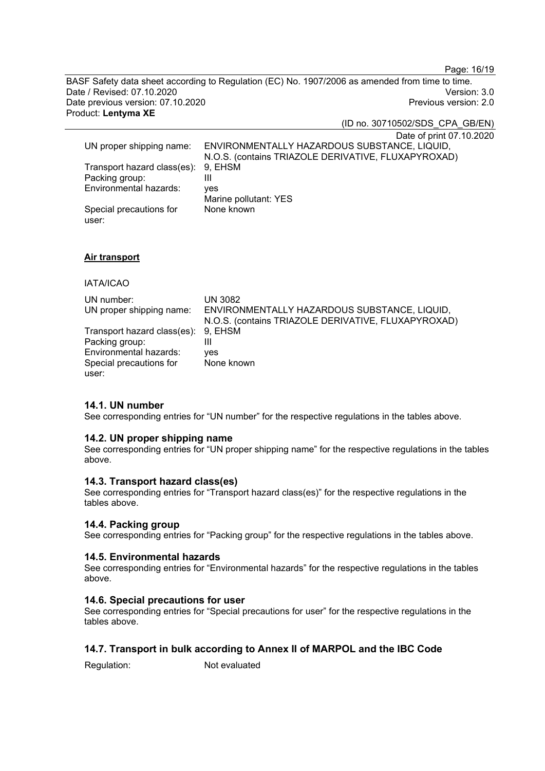Page: 16/19

BASF Safety data sheet according to Regulation (EC) No. 1907/2006 as amended from time to time. Date / Revised: 07.10.2020<br>Date previous version: 07.10.2020 Version: 3.0 Date previous version: 07.10.2020 Product: **Lentyma XE**

(ID no. 30710502/SDS\_CPA\_GB/EN)

Date of print 07.10.2020

| UN proper shipping name:            | ENVIRONMENTALLY HAZARDOUS SUBSTANCE, LIQUID,        |
|-------------------------------------|-----------------------------------------------------|
|                                     | N.O.S. (contains TRIAZOLE DERIVATIVE, FLUXAPYROXAD) |
| Transport hazard class(es): 9, EHSM |                                                     |
| Packing group:                      |                                                     |
| Environmental hazards:              | ves                                                 |
|                                     | Marine pollutant: YES                               |
| Special precautions for             | None known                                          |
| user:                               |                                                     |

## **Air transport**

## IATA/ICAO

| UN number:<br>UN proper shipping name: | UN 3082<br>ENVIRONMENTALLY HAZARDOUS SUBSTANCE, LIQUID, |
|----------------------------------------|---------------------------------------------------------|
|                                        | N.O.S. (contains TRIAZOLE DERIVATIVE, FLUXAPYROXAD)     |
| Transport hazard class(es): 9, EHSM    |                                                         |
| Packing group:                         |                                                         |
| Environmental hazards:                 | <b>ves</b>                                              |
| Special precautions for                | None known                                              |
| user:                                  |                                                         |

## **14.1. UN number**

See corresponding entries for "UN number" for the respective regulations in the tables above.

#### **14.2. UN proper shipping name**

See corresponding entries for "UN proper shipping name" for the respective regulations in the tables above.

## **14.3. Transport hazard class(es)**

See corresponding entries for "Transport hazard class(es)" for the respective regulations in the tables above.

#### **14.4. Packing group**

See corresponding entries for "Packing group" for the respective regulations in the tables above.

#### **14.5. Environmental hazards**

See corresponding entries for "Environmental hazards" for the respective regulations in the tables above.

#### **14.6. Special precautions for user**

See corresponding entries for "Special precautions for user" for the respective regulations in the tables above.

## **14.7. Transport in bulk according to Annex II of MARPOL and the IBC Code**

Regulation: Not evaluated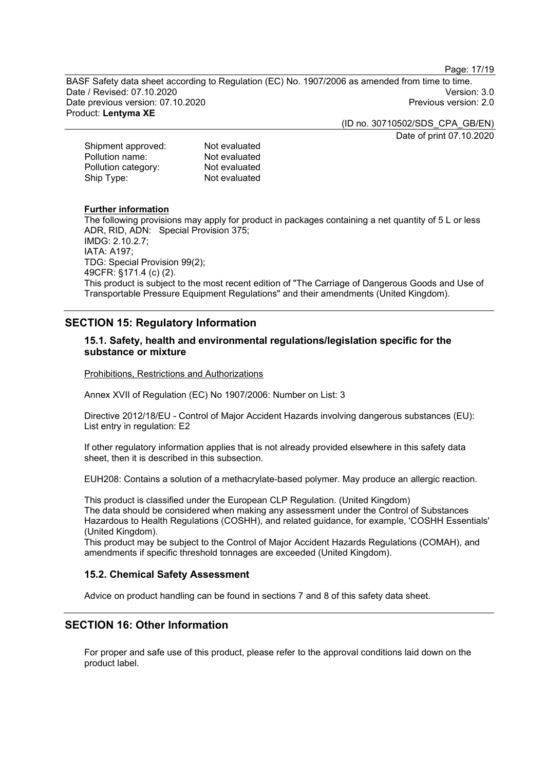Page: 17/19

BASF Safety data sheet according to Regulation (EC) No. 1907/2006 as amended from time to time. Date / Revised: 07.10.2020 Version: 3.0 Date previous version: 07.10.2020 Product: **Lentyma XE**

(ID no. 30710502/SDS\_CPA\_GB/EN)

Date of print 07.10.2020

| Not evaluated |
|---------------|
| Not evaluated |
| Not evaluated |
| Not evaluated |
|               |

## **Further information**

The following provisions may apply for product in packages containing a net quantity of 5 L or less ADR, RID, ADN: Special Provision 375; IMDG: 2.10.2.7; IATA: A197; TDG: Special Provision 99(2); 49CFR: §171.4 (c) (2). This product is subject to the most recent edition of "The Carriage of Dangerous Goods and Use of Transportable Pressure Equipment Regulations" and their amendments (United Kingdom).

## **SECTION 15: Regulatory Information**

## **15.1. Safety, health and environmental regulations/legislation specific for the substance or mixture**

Prohibitions, Restrictions and Authorizations

Annex XVII of Regulation (EC) No 1907/2006: Number on List: 3

Directive 2012/18/EU - Control of Major Accident Hazards involving dangerous substances (EU): List entry in regulation: E2

If other regulatory information applies that is not already provided elsewhere in this safety data sheet, then it is described in this subsection.

EUH208: Contains a solution of a methacrylate-based polymer. May produce an allergic reaction.

This product is classified under the European CLP Regulation. (United Kingdom) The data should be considered when making any assessment under the Control of Substances Hazardous to Health Regulations (COSHH), and related guidance, for example, 'COSHH Essentials' (United Kingdom).

This product may be subject to the Control of Major Accident Hazards Regulations (COMAH), and amendments if specific threshold tonnages are exceeded (United Kingdom).

## **15.2. Chemical Safety Assessment**

Advice on product handling can be found in sections 7 and 8 of this safety data sheet.

## **SECTION 16: Other Information**

For proper and safe use of this product, please refer to the approval conditions laid down on the product label.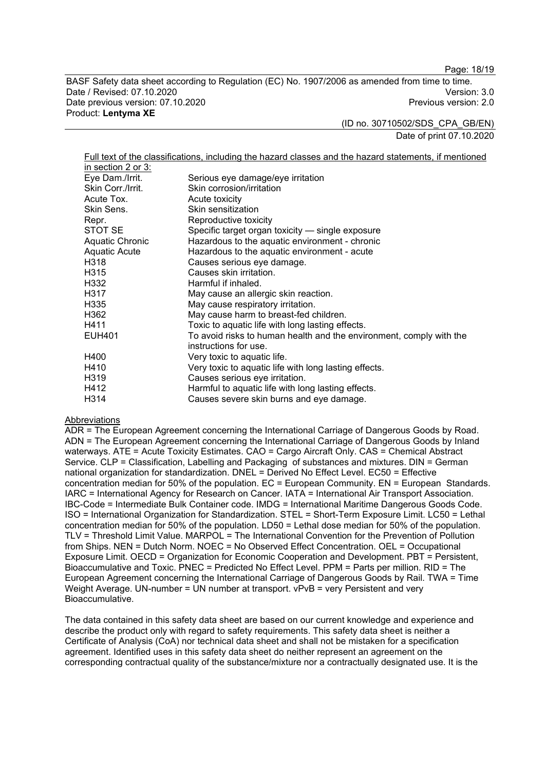Page: 18/19

BASF Safety data sheet according to Regulation (EC) No. 1907/2006 as amended from time to time. Date / Revised: 07.10.2020 Version: 3.0 Date previous version: 07.10.2020 Product: **Lentyma XE**

> (ID no. 30710502/SDS\_CPA\_GB/EN) Date of print 07.10.2020

Full text of the classifications, including the hazard classes and the hazard statements, if mentioned

| in section 2 or $3:$ |                                                                     |
|----------------------|---------------------------------------------------------------------|
| Eye Dam./Irrit.      | Serious eye damage/eye irritation                                   |
| Skin Corr./Irrit.    | Skin corrosion/irritation                                           |
| Acute Tox.           | Acute toxicity                                                      |
| Skin Sens.           | Skin sensitization                                                  |
| Repr.                | Reproductive toxicity                                               |
| STOT SE              | Specific target organ toxicity - single exposure                    |
| Aquatic Chronic      | Hazardous to the aquatic environment - chronic                      |
| Aquatic Acute        | Hazardous to the aquatic environment - acute                        |
| H318                 | Causes serious eye damage.                                          |
| H315                 | Causes skin irritation.                                             |
| H332                 | Harmful if inhaled.                                                 |
| H317                 | May cause an allergic skin reaction.                                |
| H335                 | May cause respiratory irritation.                                   |
| H362                 | May cause harm to breast-fed children.                              |
| H411                 | Toxic to aquatic life with long lasting effects.                    |
| EUH401               | To avoid risks to human health and the environment, comply with the |
|                      | instructions for use.                                               |
| H400                 | Very toxic to aquatic life.                                         |
| H410                 | Very toxic to aquatic life with long lasting effects.               |
| H319                 | Causes serious eye irritation.                                      |
| H412                 | Harmful to aquatic life with long lasting effects.                  |
| H314                 | Causes severe skin burns and eye damage.                            |
|                      |                                                                     |

#### Abbreviations

ADR = The European Agreement concerning the International Carriage of Dangerous Goods by Road. ADN = The European Agreement concerning the International Carriage of Dangerous Goods by Inland waterways. ATE = Acute Toxicity Estimates. CAO = Cargo Aircraft Only. CAS = Chemical Abstract Service. CLP = Classification, Labelling and Packaging of substances and mixtures. DIN = German national organization for standardization. DNEL = Derived No Effect Level. EC50 = Effective concentration median for 50% of the population. EC = European Community. EN = European Standards. IARC = International Agency for Research on Cancer. IATA = International Air Transport Association. IBC-Code = Intermediate Bulk Container code. IMDG = International Maritime Dangerous Goods Code. ISO = International Organization for Standardization. STEL = Short-Term Exposure Limit. LC50 = Lethal concentration median for 50% of the population. LD50 = Lethal dose median for 50% of the population. TLV = Threshold Limit Value. MARPOL = The International Convention for the Prevention of Pollution from Ships. NEN = Dutch Norm. NOEC = No Observed Effect Concentration. OEL = Occupational Exposure Limit. OECD = Organization for Economic Cooperation and Development. PBT = Persistent, Bioaccumulative and Toxic. PNEC = Predicted No Effect Level. PPM = Parts per million. RID = The European Agreement concerning the International Carriage of Dangerous Goods by Rail. TWA = Time Weight Average. UN-number = UN number at transport. vPvB = very Persistent and very Bioaccumulative.

The data contained in this safety data sheet are based on our current knowledge and experience and describe the product only with regard to safety requirements. This safety data sheet is neither a Certificate of Analysis (CoA) nor technical data sheet and shall not be mistaken for a specification agreement. Identified uses in this safety data sheet do neither represent an agreement on the corresponding contractual quality of the substance/mixture nor a contractually designated use. It is the